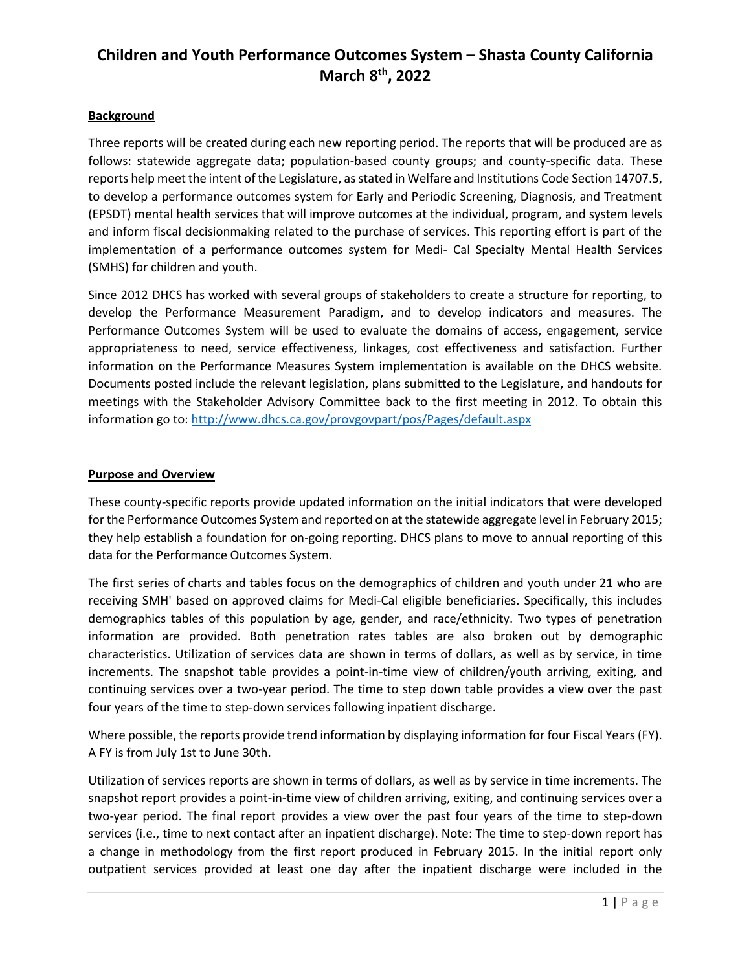### **Background**

Three reports will be created during each new reporting period. The reports that will be produced are as follows: statewide aggregate data; population-based county groups; and county-specific data. These reports help meet the intent of the Legislature, as stated in Welfare and Institutions Code Section 14707.5, to develop a performance outcomes system for Early and Periodic Screening, Diagnosis, and Treatment (EPSDT) mental health services that will improve outcomes at the individual, program, and system levels and inform fiscal decisionmaking related to the purchase of services. This reporting effort is part of the implementation of a performance outcomes system for Medi- Cal Specialty Mental Health Services (SMHS) for children and youth.

Since 2012 DHCS has worked with several groups of stakeholders to create a structure for reporting, to develop the Performance Measurement Paradigm, and to develop indicators and measures. The Performance Outcomes System will be used to evaluate the domains of access, engagement, service appropriateness to need, service effectiveness, linkages, cost effectiveness and satisfaction. Further information on the Performance Measures System implementation is available on the DHCS website. Documents posted include the relevant legislation, plans submitted to the Legislature, and handouts for meetings with the Stakeholder Advisory Committee back to the first meeting in 2012. To obtain this information go to:<http://www.dhcs.ca.gov/provgovpart/pos/Pages/default.aspx>

#### **Purpose and Overview**

These county-specific reports provide updated information on the initial indicators that were developed for the Performance Outcomes System and reported on at the statewide aggregate level in February 2015; they help establish a foundation for on-going reporting. DHCS plans to move to annual reporting of this data for the Performance Outcomes System.

The first series of charts and tables focus on the demographics of children and youth under 21 who are receiving SMH' based on approved claims for Medi-Cal eligible beneficiaries. Specifically, this includes demographics tables of this population by age, gender, and race/ethnicity. Two types of penetration information are provided. Both penetration rates tables are also broken out by demographic characteristics. Utilization of services data are shown in terms of dollars, as well as by service, in time increments. The snapshot table provides a point-in-time view of children/youth arriving, exiting, and continuing services over a two-year period. The time to step down table provides a view over the past four years of the time to step-down services following inpatient discharge.

Where possible, the reports provide trend information by displaying information for four Fiscal Years (FY). A FY is from July 1st to June 30th.

Utilization of services reports are shown in terms of dollars, as well as by service in time increments. The snapshot report provides a point-in-time view of children arriving, exiting, and continuing services over a two-year period. The final report provides a view over the past four years of the time to step-down services (i.e., time to next contact after an inpatient discharge). Note: The time to step-down report has a change in methodology from the first report produced in February 2015. In the initial report only outpatient services provided at least one day after the inpatient discharge were included in the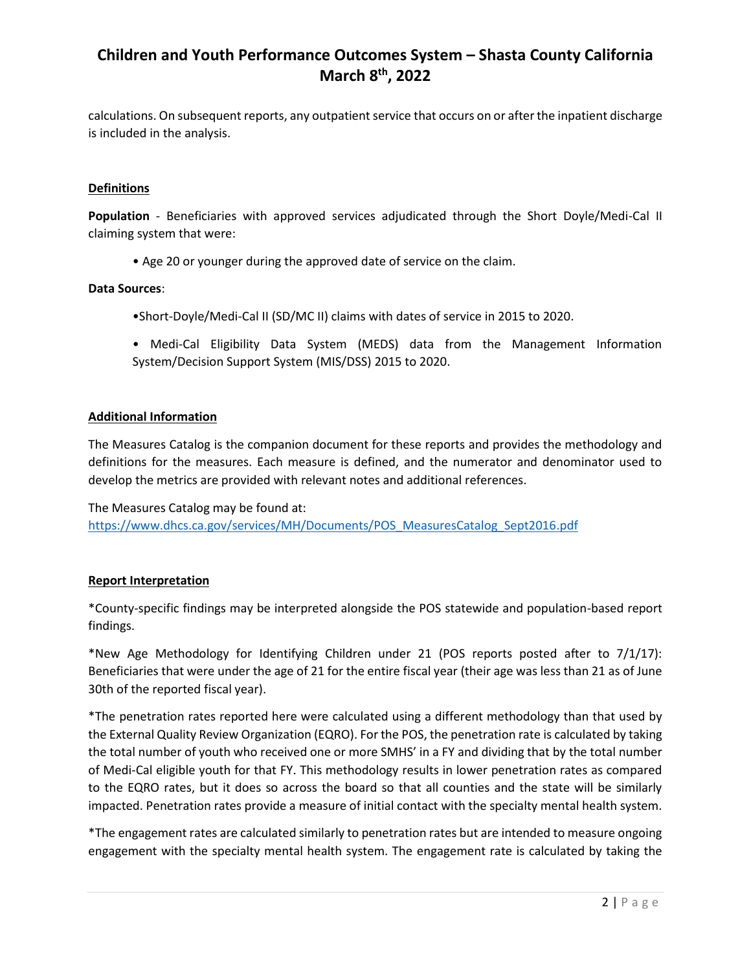calculations. On subsequent reports, any outpatient service that occurs on or after the inpatient discharge is included in the analysis.

### **Definitions**

**Population** - Beneficiaries with approved services adjudicated through the Short Doyle/Medi-Cal II claiming system that were:

• Age 20 or younger during the approved date of service on the claim.

#### **Data Sources**:

- •Short-Doyle/Medi-Cal II (SD/MC II) claims with dates of service in 2015 to 2020.
- Medi-Cal Eligibility Data System (MEDS) data from the Management Information System/Decision Support System (MIS/DSS) 2015 to 2020.

#### **Additional Information**

The Measures Catalog is the companion document for these reports and provides the methodology and definitions for the measures. Each measure is defined, and the numerator and denominator used to develop the metrics are provided with relevant notes and additional references.

The Measures Catalog may be found at: [https://www.dhcs.ca.gov/services/MH/Documents/POS\\_MeasuresCatalog\\_Sept2016.pdf](https://www.dhcs.ca.gov/services/MH/Documents/POS_MeasuresCatalog_Sept2016.pdf)

#### **Report Interpretation**

\*County-specific findings may be interpreted alongside the POS statewide and population-based report findings.

\*New Age Methodology for Identifying Children under 21 (POS reports posted after to  $7/1/17$ ): Beneficiaries that were under the age of 21 for the entire fiscal year (their age was less than 21 as of June 30th of the reported fiscal year).

\*The penetration rates reported here were calculated using a different methodology than that used by the External Quality Review Organization (EQRO). For the POS, the penetration rate is calculated by taking the total number of youth who received one or more SMHS' in a FY and dividing that by the total number of Medi-Cal eligible youth for that FY. This methodology results in lower penetration rates as compared to the EQRO rates, but it does so across the board so that all counties and the state will be similarly impacted. Penetration rates provide a measure of initial contact with the specialty mental health system.

\*The engagement rates are calculated similarly to penetration rates but are intended to measure ongoing engagement with the specialty mental health system. The engagement rate is calculated by taking the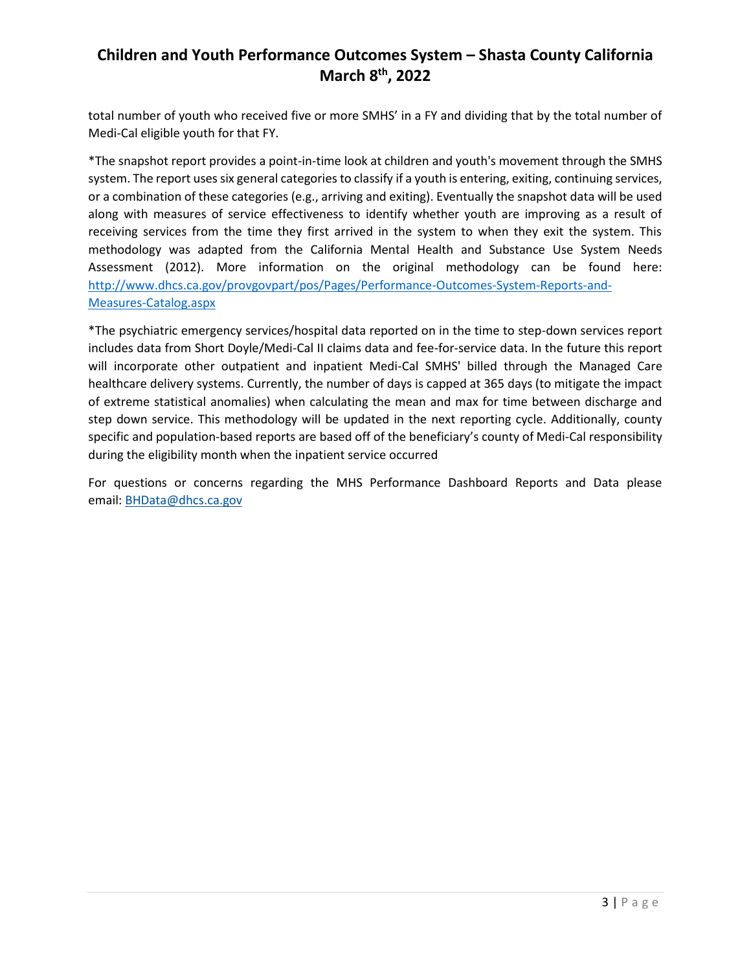total number of youth who received five or more SMHS' in a FY and dividing that by the total number of Medi-Cal eligible youth for that FY.

\*The snapshot report provides a point-in-time look at children and youth's movement through the SMHS system. The report uses six general categories to classify if a youth is entering, exiting, continuing services, or a combination of these categories (e.g., arriving and exiting). Eventually the snapshot data will be used along with measures of service effectiveness to identify whether youth are improving as a result of receiving services from the time they first arrived in the system to when they exit the system. This methodology was adapted from the California Mental Health and Substance Use System Needs Assessment (2012). More information on the original methodology can be found here: [http://www.dhcs.ca.gov/provgovpart/pos/Pages/Performance-Outcomes-System-Reports-and-](http://www.dhcs.ca.gov/provgovpart/pos/Pages/Performance-Outcomes-System-Reports-and-Measures-Catalog.aspx)[Measures-Catalog.aspx](http://www.dhcs.ca.gov/provgovpart/pos/Pages/Performance-Outcomes-System-Reports-and-Measures-Catalog.aspx)

\*The psychiatric emergency services/hospital data reported on in the time to step-down services report includes data from Short Doyle/Medi-Cal II claims data and fee-for-service data. In the future this report will incorporate other outpatient and inpatient Medi-Cal SMHS' billed through the Managed Care healthcare delivery systems. Currently, the number of days is capped at 365 days (to mitigate the impact of extreme statistical anomalies) when calculating the mean and max for time between discharge and step down service. This methodology will be updated in the next reporting cycle. Additionally, county specific and population-based reports are based off of the beneficiary's county of Medi-Cal responsibility during the eligibility month when the inpatient service occurred

For questions or concerns regarding the MHS Performance Dashboard Reports and Data please email: [BHData@dhcs.ca.gov](mailto:BHData@dhcs.ca.gov)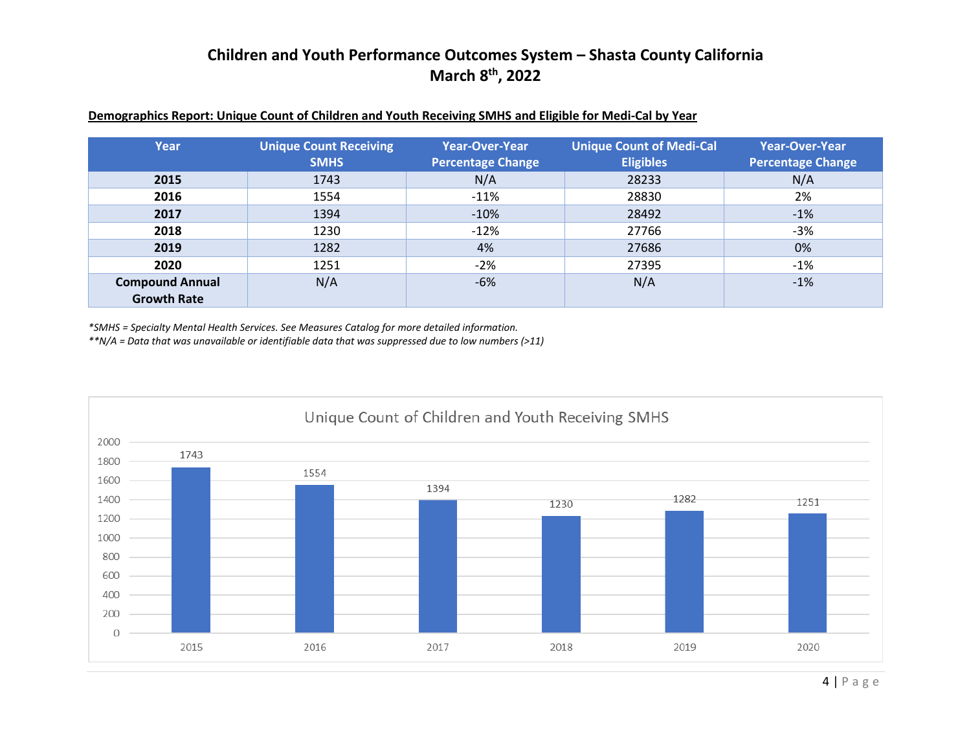| Year                   | <b>Unique Count Receiving</b><br><b>SMHS</b> | <b>Year-Over-Year</b><br><b>Percentage Change</b> | <b>Unique Count of Medi-Cal</b><br><b>Eligibles</b> | <b>Year-Over-Year</b><br><b>Percentage Change</b> |
|------------------------|----------------------------------------------|---------------------------------------------------|-----------------------------------------------------|---------------------------------------------------|
| 2015                   | 1743                                         | N/A                                               | 28233                                               | N/A                                               |
| 2016                   | 1554                                         | $-11%$                                            | 28830                                               | 2%                                                |
| 2017                   | 1394                                         | $-10%$                                            | 28492                                               | $-1%$                                             |
| 2018                   | 1230                                         | $-12%$                                            | 27766                                               | $-3%$                                             |
| 2019                   | 1282                                         | 4%                                                | 27686                                               | 0%                                                |
| 2020                   | 1251                                         | $-2%$                                             | 27395                                               | $-1%$                                             |
| <b>Compound Annual</b> | N/A                                          | $-6%$                                             | N/A                                                 | $-1%$                                             |
| <b>Growth Rate</b>     |                                              |                                                   |                                                     |                                                   |

#### **Demographics Report: Unique Count of Children and Youth Receiving SMHS and Eligible for Medi-Cal by Year**

*\*SMHS = Specialty Mental Health Services. See Measures Catalog for more detailed information.*

*\*\*N/A = Data that was unavailable or identifiable data that was suppressed due to low numbers (>11)*

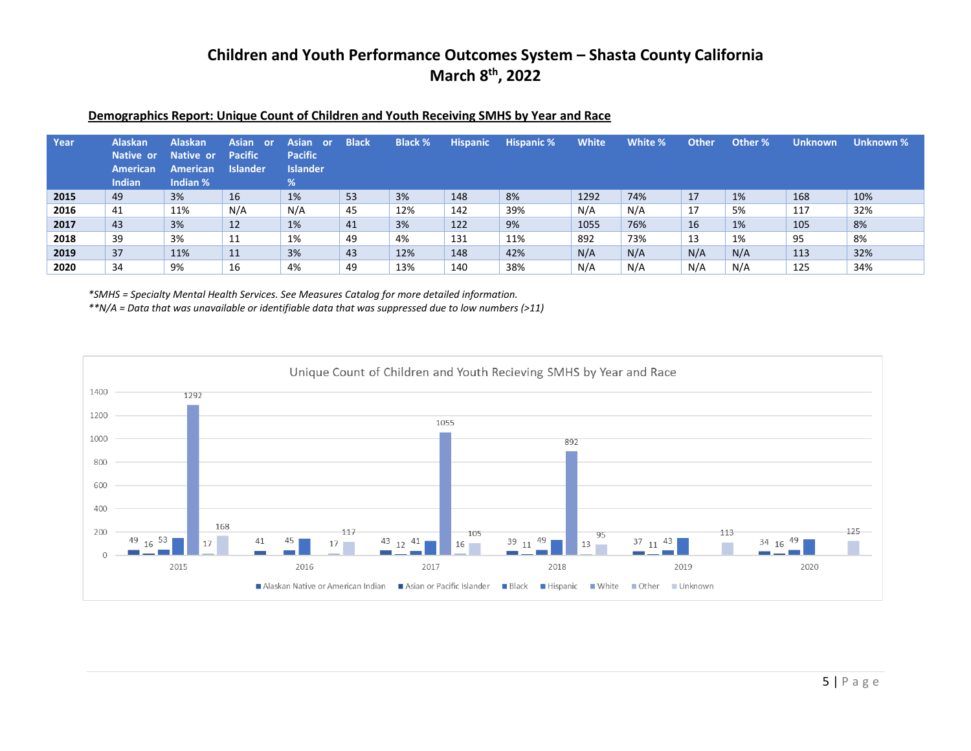| Year | <b>Alaskan</b><br>Native or<br>American<br><b>Indian</b> | <b>Alaskan</b><br>Native or<br><b>American</b><br>Indian % | <b>Asian</b><br>or.<br><b>Pacific</b><br><b>Islander</b> | Asian or<br><b>Pacific</b><br><b>Islander</b><br>% | <b>Black</b> | <b>Black %</b> | <b>Hispanic</b> | <b>Hispanic %</b> | <b>White</b> | White % | <b>Other</b> | Other % | <b>Unknown</b> | Unknown % |
|------|----------------------------------------------------------|------------------------------------------------------------|----------------------------------------------------------|----------------------------------------------------|--------------|----------------|-----------------|-------------------|--------------|---------|--------------|---------|----------------|-----------|
| 2015 | 49                                                       | 3%                                                         | 16                                                       | 1%                                                 | 53           | 3%             | 148             | 8%                | 1292         | 74%     | 17           | 1%      | 168            | 10%       |
| 2016 | 41                                                       | 11%                                                        | N/A                                                      | N/A                                                | 45           | 12%            | 142             | 39%               | N/A          | N/A     | 17           | 5%      | 117            | 32%       |
| 2017 | 43                                                       | 3%                                                         | 12                                                       | 1%                                                 | 41           | 3%             | 122             | 9%                | 1055         | 76%     | 16           | 1%      | 105            | 8%        |
| 2018 | 39                                                       | 3%                                                         | 11                                                       | 1%                                                 | 49           | 4%             | 131             | 11%               | 892          | 73%     | 13           | 1%      | 95             | 8%        |
| 2019 | 37                                                       | 11%                                                        | 11                                                       | 3%                                                 | 43           | 12%            | 148             | 42%               | N/A          | N/A     | N/A          | N/A     | 113            | 32%       |
| 2020 | 34                                                       | 9%                                                         | 16                                                       | 4%                                                 | 49           | 13%            | 140             | 38%               | N/A          | N/A     | N/A          | N/A     | 125            | 34%       |

#### **Demographics Report: Unique Count of Children and Youth Receiving SMHS by Year and Race**

*\*SMHS = Specialty Mental Health Services. See Measures Catalog for more detailed information.*

*\*\*N/A = Data that was unavailable or identifiable data that was suppressed due to low numbers (>11)*

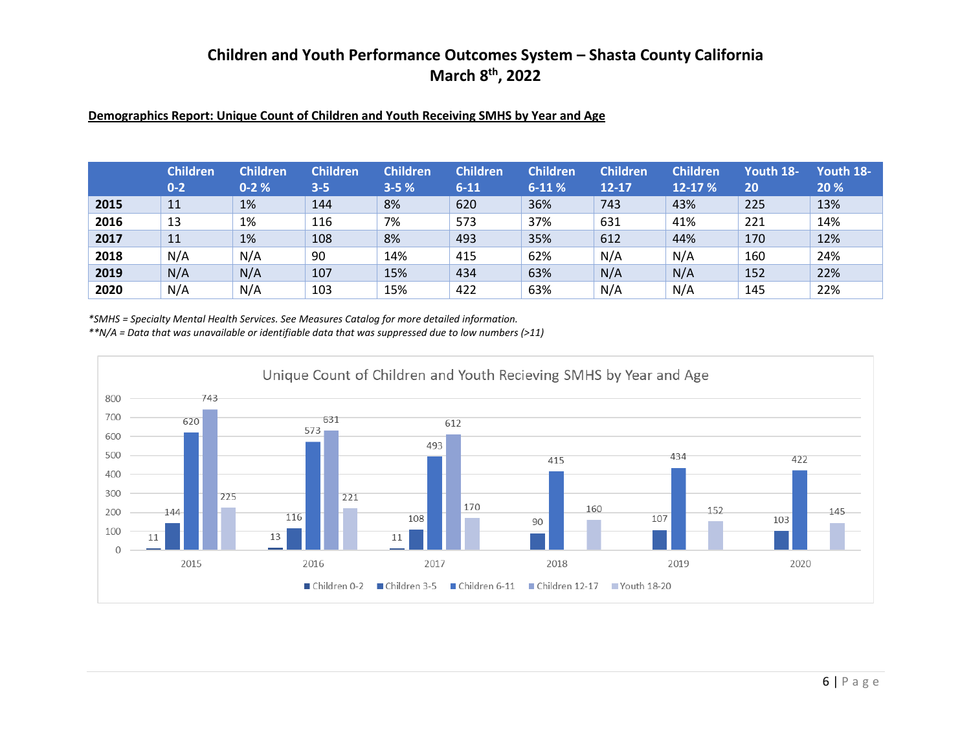### **Demographics Report: Unique Count of Children and Youth Receiving SMHS by Year and Age**

|      | <b>Children</b><br>$0 - 2$ | <b>Children</b><br>$0 - 2%$ | <b>Children</b><br>$3 - 5$ | <b>Children</b><br>$3 - 5%$ | <b>Children</b><br>$6 - 11$ | <b>Children</b><br>$6-11%$ | <b>Children</b><br>$12 - 17$ | <b>Children</b><br>12-17 % | Youth 18-<br>20 | Youth 18-<br>20% |
|------|----------------------------|-----------------------------|----------------------------|-----------------------------|-----------------------------|----------------------------|------------------------------|----------------------------|-----------------|------------------|
| 2015 | 11                         | 1%                          | 144                        | 8%                          | 620                         | 36%                        | 743                          | 43%                        | 225             | 13%              |
| 2016 | 13                         | 1%                          | 116                        | 7%                          | 573                         | 37%                        | 631                          | 41%                        | 221             | 14%              |
| 2017 | 11                         | 1%                          | 108                        | 8%                          | 493                         | 35%                        | 612                          | 44%                        | 170             | 12%              |
| 2018 | N/A                        | N/A                         | 90                         | 14%                         | 415                         | 62%                        | N/A                          | N/A                        | 160             | 24%              |
| 2019 | N/A                        | N/A                         | 107                        | 15%                         | 434                         | 63%                        | N/A                          | N/A                        | 152             | 22%              |
| 2020 | N/A                        | N/A                         | 103                        | 15%                         | 422                         | 63%                        | N/A                          | N/A                        | 145             | 22%              |

*\*SMHS = Specialty Mental Health Services. See Measures Catalog for more detailed information.*

*\*\*N/A = Data that was unavailable or identifiable data that was suppressed due to low numbers (>11)*

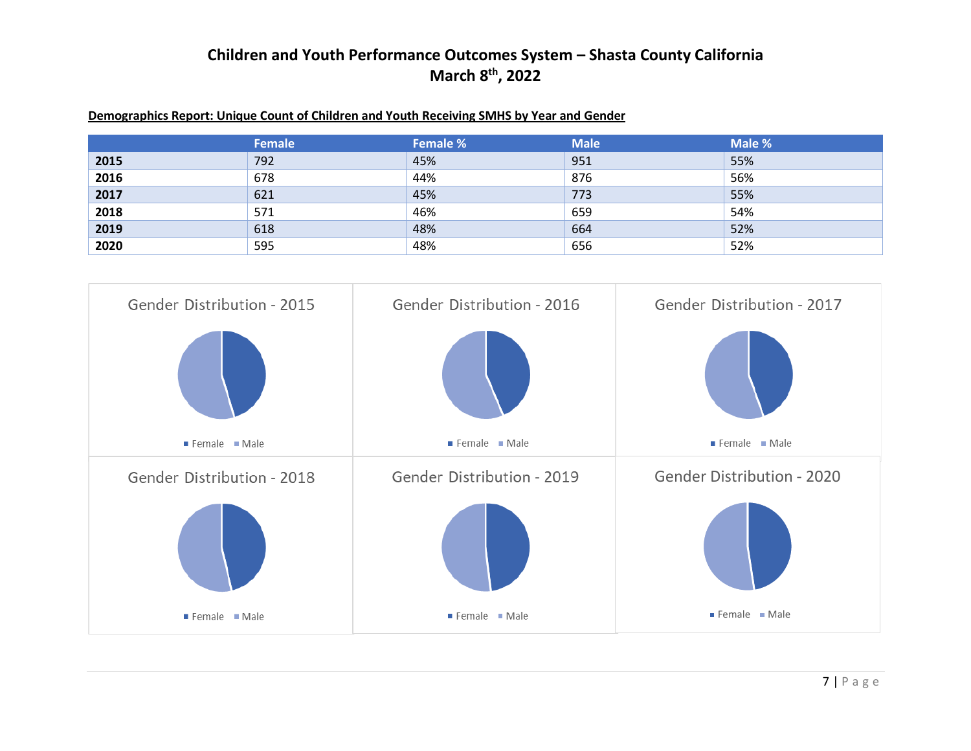#### **Demographics Report: Unique Count of Children and Youth Receiving SMHS by Year and Gender**

|      | Female | <b>Female %</b> | <b>Male</b> | Male % |
|------|--------|-----------------|-------------|--------|
| 2015 | 792    | 45%             | 951         | 55%    |
| 2016 | 678    | 44%             | 876         | 56%    |
| 2017 | 621    | 45%             | 773         | 55%    |
| 2018 | 571    | 46%             | 659         | 54%    |
| 2019 | 618    | 48%             | 664         | 52%    |
| 2020 | 595    | 48%             | 656         | 52%    |

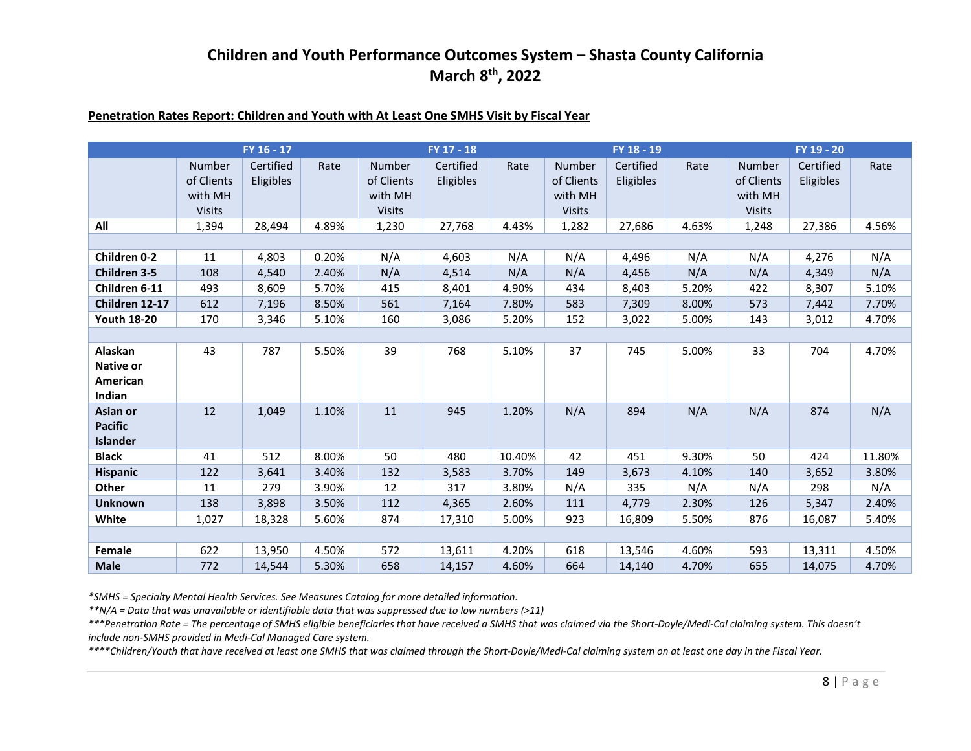#### **Penetration Rates Report: Children and Youth with At Least One SMHS Visit by Fiscal Year**

|                                                   |                                                  | FY 16 - 17             |       |                                                         | FY 17 - 18             |        |                                                         | FY 18 - 19             |       |                                                  | FY 19 - 20             |        |
|---------------------------------------------------|--------------------------------------------------|------------------------|-------|---------------------------------------------------------|------------------------|--------|---------------------------------------------------------|------------------------|-------|--------------------------------------------------|------------------------|--------|
|                                                   | Number<br>of Clients<br>with MH<br><b>Visits</b> | Certified<br>Eligibles | Rate  | <b>Number</b><br>of Clients<br>with MH<br><b>Visits</b> | Certified<br>Eligibles | Rate   | <b>Number</b><br>of Clients<br>with MH<br><b>Visits</b> | Certified<br>Eligibles | Rate  | Number<br>of Clients<br>with MH<br><b>Visits</b> | Certified<br>Eligibles | Rate   |
| All                                               | 1,394                                            | 28,494                 | 4.89% | 1,230                                                   | 27,768                 | 4.43%  | 1,282                                                   | 27,686                 | 4.63% | 1,248                                            | 27,386                 | 4.56%  |
|                                                   |                                                  |                        |       |                                                         |                        |        |                                                         |                        |       |                                                  |                        |        |
| <b>Children 0-2</b>                               | 11                                               | 4,803                  | 0.20% | N/A                                                     | 4,603                  | N/A    | N/A                                                     | 4,496                  | N/A   | N/A                                              | 4,276                  | N/A    |
| Children 3-5                                      | 108                                              | 4,540                  | 2.40% | N/A                                                     | 4,514                  | N/A    | N/A                                                     | 4,456                  | N/A   | N/A                                              | 4,349                  | N/A    |
| Children 6-11                                     | 493                                              | 8,609                  | 5.70% | 415                                                     | 8,401                  | 4.90%  | 434                                                     | 8,403                  | 5.20% | 422                                              | 8,307                  | 5.10%  |
| Children 12-17                                    | 612                                              | 7,196                  | 8.50% | 561                                                     | 7,164                  | 7.80%  | 583                                                     | 7,309                  | 8.00% | 573                                              | 7,442                  | 7.70%  |
| <b>Youth 18-20</b>                                | 170                                              | 3,346                  | 5.10% | 160                                                     | 3,086                  | 5.20%  | 152                                                     | 3,022                  | 5.00% | 143                                              | 3,012                  | 4.70%  |
|                                                   |                                                  |                        |       |                                                         |                        |        |                                                         |                        |       |                                                  |                        |        |
| Alaskan<br><b>Native or</b><br>American<br>Indian | 43                                               | 787                    | 5.50% | 39                                                      | 768                    | 5.10%  | 37                                                      | 745                    | 5.00% | 33                                               | 704                    | 4.70%  |
| Asian or<br><b>Pacific</b><br><b>Islander</b>     | 12                                               | 1,049                  | 1.10% | 11                                                      | 945                    | 1.20%  | N/A                                                     | 894                    | N/A   | N/A                                              | 874                    | N/A    |
| <b>Black</b>                                      | 41                                               | 512                    | 8.00% | 50                                                      | 480                    | 10.40% | 42                                                      | 451                    | 9.30% | 50                                               | 424                    | 11.80% |
| <b>Hispanic</b>                                   | 122                                              | 3,641                  | 3.40% | 132                                                     | 3,583                  | 3.70%  | 149                                                     | 3,673                  | 4.10% | 140                                              | 3,652                  | 3.80%  |
| <b>Other</b>                                      | 11                                               | 279                    | 3.90% | 12                                                      | 317                    | 3.80%  | N/A                                                     | 335                    | N/A   | N/A                                              | 298                    | N/A    |
| <b>Unknown</b>                                    | 138                                              | 3,898                  | 3.50% | 112                                                     | 4,365                  | 2.60%  | 111                                                     | 4,779                  | 2.30% | 126                                              | 5,347                  | 2.40%  |
| White                                             | 1,027                                            | 18,328                 | 5.60% | 874                                                     | 17,310                 | 5.00%  | 923                                                     | 16,809                 | 5.50% | 876                                              | 16,087                 | 5.40%  |
|                                                   |                                                  |                        |       |                                                         |                        |        |                                                         |                        |       |                                                  |                        |        |
| Female                                            | 622                                              | 13,950                 | 4.50% | 572                                                     | 13,611                 | 4.20%  | 618                                                     | 13,546                 | 4.60% | 593                                              | 13,311                 | 4.50%  |
| <b>Male</b>                                       | 772                                              | 14,544                 | 5.30% | 658                                                     | 14,157                 | 4.60%  | 664                                                     | 14,140                 | 4.70% | 655                                              | 14,075                 | 4.70%  |

*\*SMHS = Specialty Mental Health Services. See Measures Catalog for more detailed information.*

*\*\*N/A = Data that was unavailable or identifiable data that was suppressed due to low numbers (>11)*

*\*\*\*Penetration Rate = The percentage of SMHS eligible beneficiaries that have received a SMHS that was claimed via the Short-Doyle/Medi-Cal claiming system. This doesn't include non-SMHS provided in Medi-Cal Managed Care system.*

*\*\*\*\*Children/Youth that have received at least one SMHS that was claimed through the Short-Doyle/Medi-Cal claiming system on at least one day in the Fiscal Year.*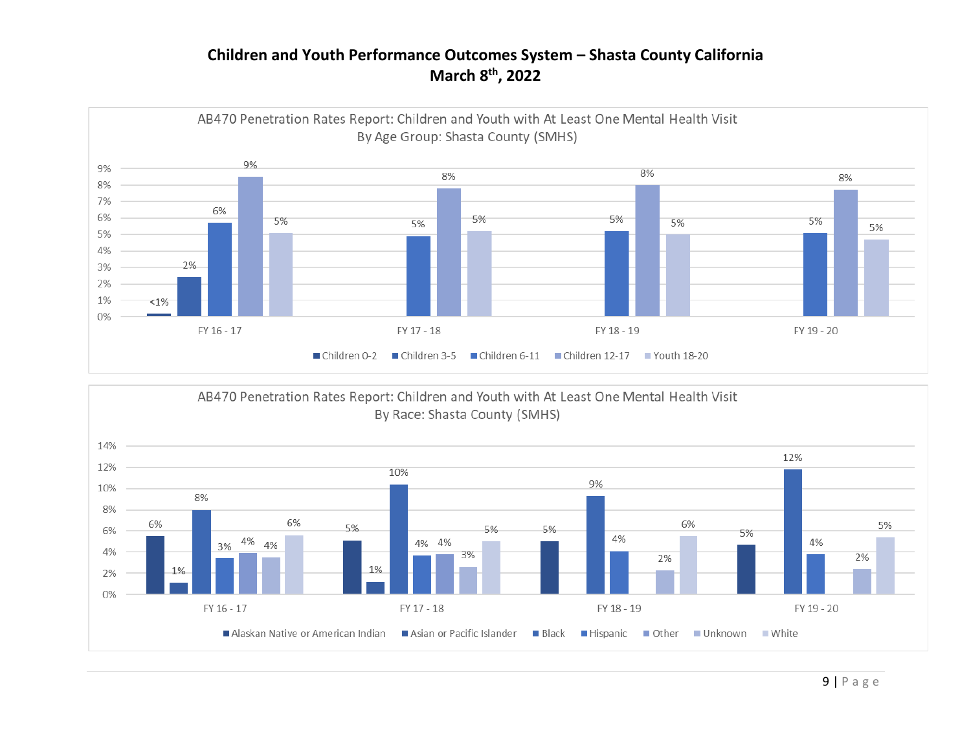

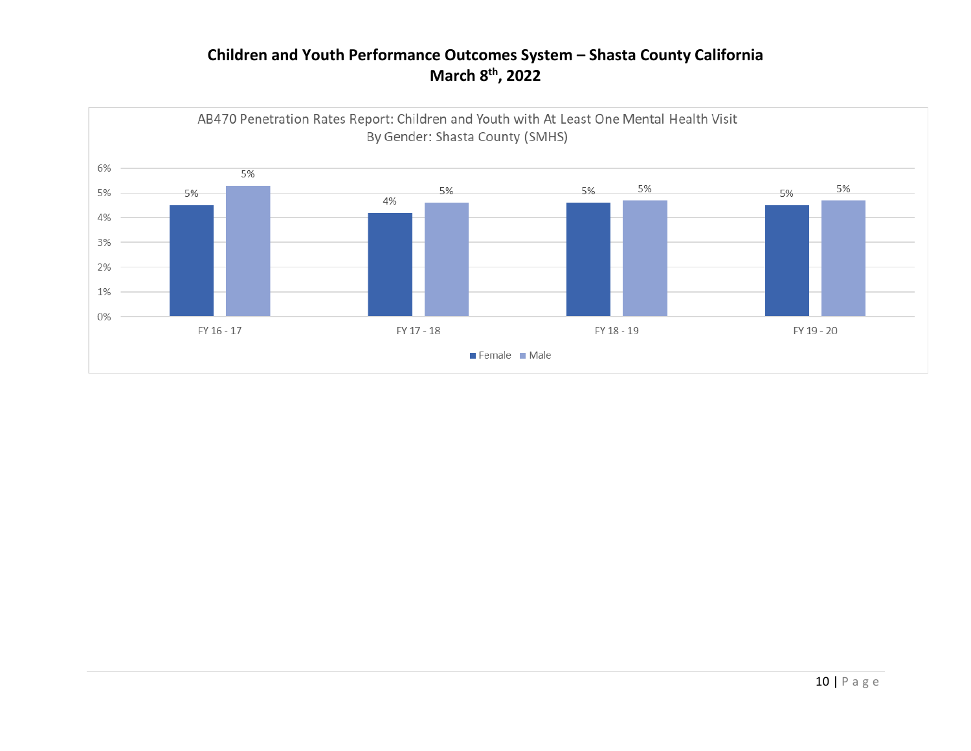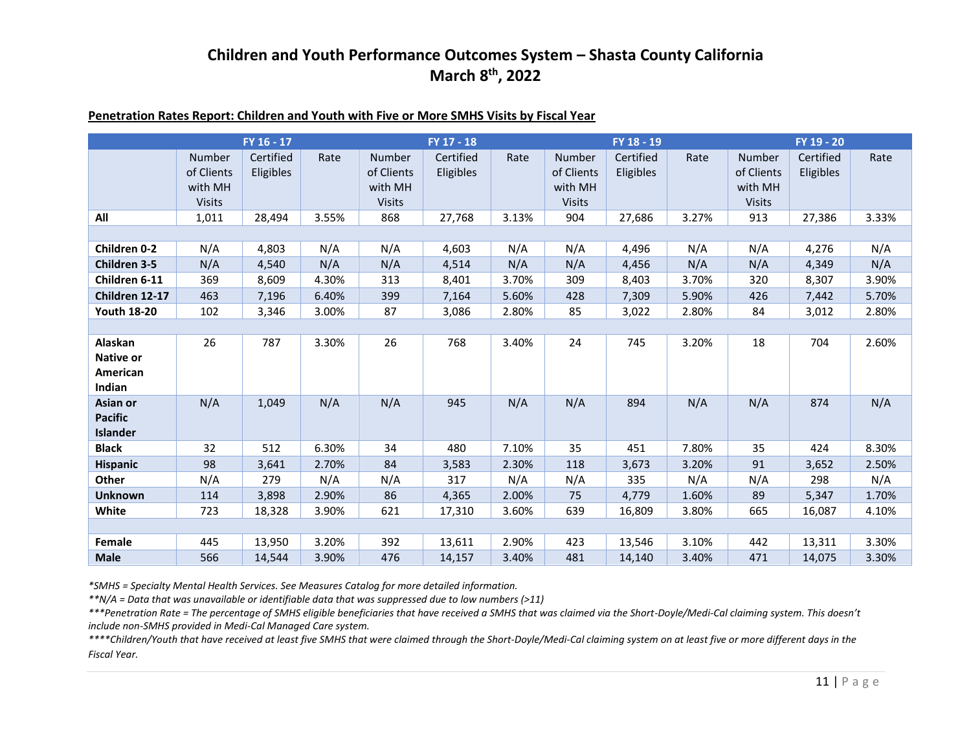| Penetration Rates Report: Children and Youth with Five or More SMHS Visits by Fiscal Year |
|-------------------------------------------------------------------------------------------|
|-------------------------------------------------------------------------------------------|

|                                                   |                                                  | FY 16 - 17             |       |                                                         | FY 17 - 18                    |       |                                                         | FY 18 - 19             |       |                                                         | FY 19 - 20             |       |
|---------------------------------------------------|--------------------------------------------------|------------------------|-------|---------------------------------------------------------|-------------------------------|-------|---------------------------------------------------------|------------------------|-------|---------------------------------------------------------|------------------------|-------|
|                                                   | Number<br>of Clients<br>with MH<br><b>Visits</b> | Certified<br>Eligibles | Rate  | <b>Number</b><br>of Clients<br>with MH<br><b>Visits</b> | Certified<br><b>Eligibles</b> | Rate  | <b>Number</b><br>of Clients<br>with MH<br><b>Visits</b> | Certified<br>Eligibles | Rate  | <b>Number</b><br>of Clients<br>with MH<br><b>Visits</b> | Certified<br>Eligibles | Rate  |
| All                                               | 1,011                                            | 28,494                 | 3.55% | 868                                                     | 27,768                        | 3.13% | 904                                                     | 27,686                 | 3.27% | 913                                                     | 27,386                 | 3.33% |
|                                                   |                                                  |                        |       |                                                         |                               |       |                                                         |                        |       |                                                         |                        |       |
| <b>Children 0-2</b>                               | N/A                                              | 4,803                  | N/A   | N/A                                                     | 4,603                         | N/A   | N/A                                                     | 4,496                  | N/A   | N/A                                                     | 4,276                  | N/A   |
| <b>Children 3-5</b>                               | N/A                                              | 4,540                  | N/A   | N/A                                                     | 4,514                         | N/A   | N/A                                                     | 4,456                  | N/A   | N/A                                                     | 4,349                  | N/A   |
| Children 6-11                                     | 369                                              | 8,609                  | 4.30% | 313                                                     | 8,401                         | 3.70% | 309                                                     | 8,403                  | 3.70% | 320                                                     | 8,307                  | 3.90% |
| Children 12-17                                    | 463                                              | 7,196                  | 6.40% | 399                                                     | 7,164                         | 5.60% | 428                                                     | 7,309                  | 5.90% | 426                                                     | 7,442                  | 5.70% |
| <b>Youth 18-20</b>                                | 102                                              | 3,346                  | 3.00% | 87                                                      | 3,086                         | 2.80% | 85                                                      | 3,022                  | 2.80% | 84                                                      | 3,012                  | 2.80% |
|                                                   |                                                  |                        |       |                                                         |                               |       |                                                         |                        |       |                                                         |                        |       |
| Alaskan<br><b>Native or</b><br>American<br>Indian | 26                                               | 787                    | 3.30% | 26                                                      | 768                           | 3.40% | 24                                                      | 745                    | 3.20% | 18                                                      | 704                    | 2.60% |
| Asian or<br><b>Pacific</b><br>Islander            | N/A                                              | 1,049                  | N/A   | N/A                                                     | 945                           | N/A   | N/A                                                     | 894                    | N/A   | N/A                                                     | 874                    | N/A   |
| <b>Black</b>                                      | 32                                               | 512                    | 6.30% | 34                                                      | 480                           | 7.10% | 35                                                      | 451                    | 7.80% | 35                                                      | 424                    | 8.30% |
| <b>Hispanic</b>                                   | 98                                               | 3,641                  | 2.70% | 84                                                      | 3,583                         | 2.30% | 118                                                     | 3,673                  | 3.20% | 91                                                      | 3,652                  | 2.50% |
| Other                                             | N/A                                              | 279                    | N/A   | N/A                                                     | 317                           | N/A   | N/A                                                     | 335                    | N/A   | N/A                                                     | 298                    | N/A   |
| <b>Unknown</b>                                    | 114                                              | 3,898                  | 2.90% | 86                                                      | 4,365                         | 2.00% | 75                                                      | 4,779                  | 1.60% | 89                                                      | 5,347                  | 1.70% |
| White                                             | 723                                              | 18,328                 | 3.90% | 621                                                     | 17,310                        | 3.60% | 639                                                     | 16,809                 | 3.80% | 665                                                     | 16,087                 | 4.10% |
|                                                   |                                                  |                        |       |                                                         |                               |       |                                                         |                        |       |                                                         |                        |       |
| Female                                            | 445                                              | 13,950                 | 3.20% | 392                                                     | 13,611                        | 2.90% | 423                                                     | 13,546                 | 3.10% | 442                                                     | 13,311                 | 3.30% |
| <b>Male</b>                                       | 566                                              | 14,544                 | 3.90% | 476                                                     | 14,157                        | 3.40% | 481                                                     | 14,140                 | 3.40% | 471                                                     | 14,075                 | 3.30% |

*\*SMHS = Specialty Mental Health Services. See Measures Catalog for more detailed information.*

*\*\*N/A = Data that was unavailable or identifiable data that was suppressed due to low numbers (>11)*

*\*\*\*Penetration Rate = The percentage of SMHS eligible beneficiaries that have received a SMHS that was claimed via the Short-Doyle/Medi-Cal claiming system. This doesn't include non-SMHS provided in Medi-Cal Managed Care system.*

*\*\*\*\*Children/Youth that have received at least five SMHS that were claimed through the Short-Doyle/Medi-Cal claiming system on at least five or more different days in the Fiscal Year.*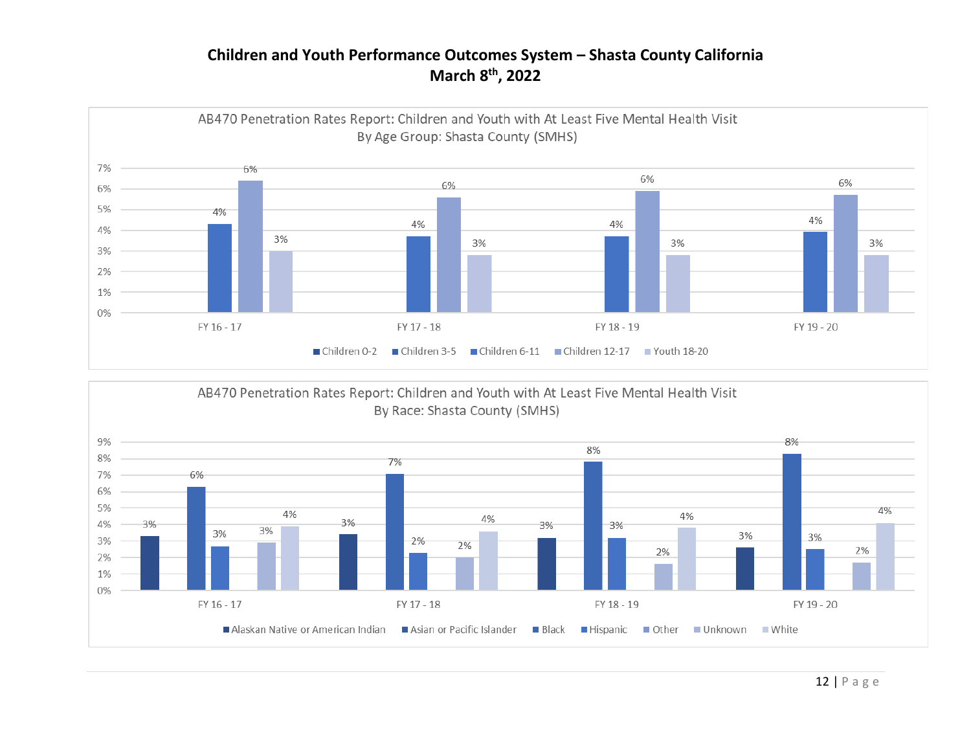

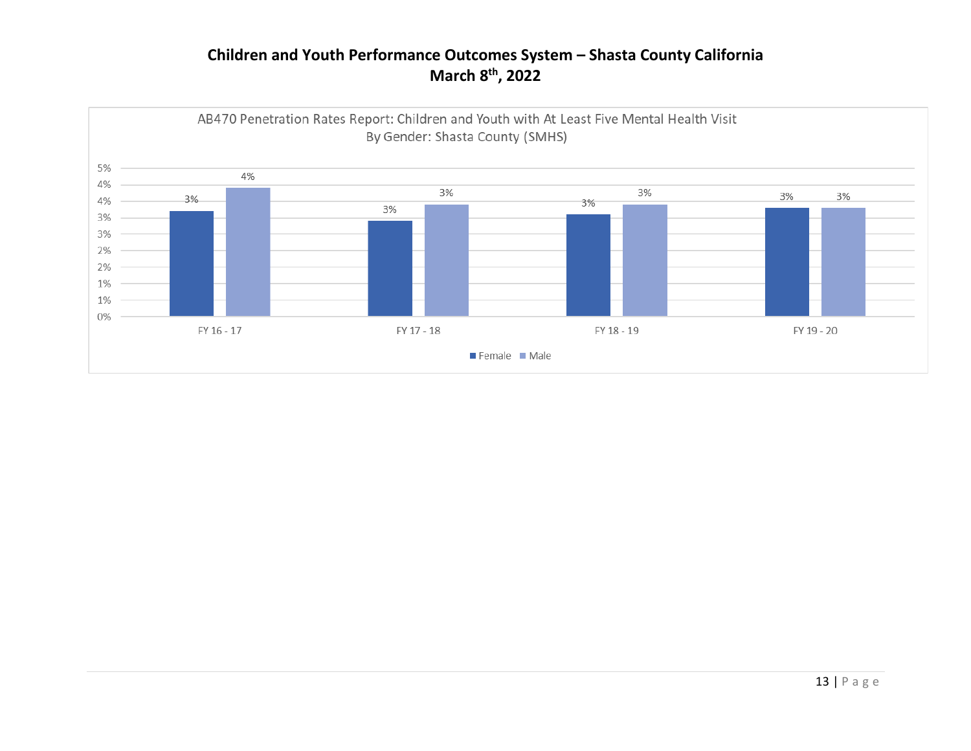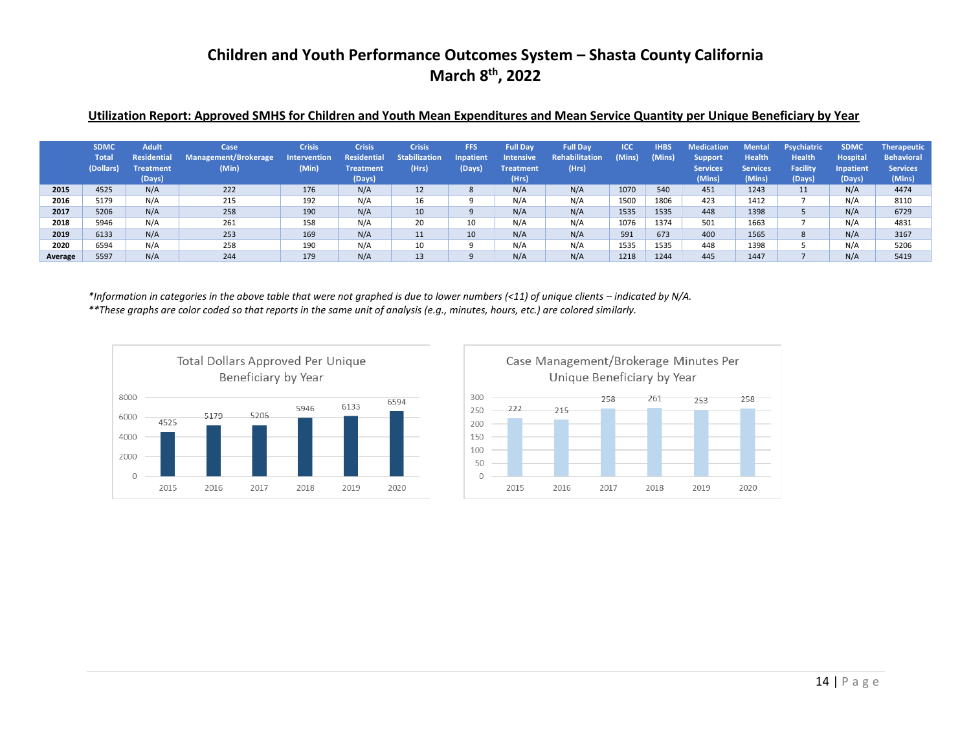#### **Utilization Report: Approved SMHS for Children and Youth Mean Expenditures and Mean Service Quantity per Unique Beneficiary by Year**

|         | <b>SDMC</b><br><b>Total</b><br>(Dollars) | <b>Adult</b><br>Residential<br><b>Treatment</b><br>(Days) | Case<br>Management/Brokerage<br>(Min) | <b>Crisis</b><br><b>Intervention</b><br>(Min) | <b>Crisis</b><br><b>Residential</b><br><b>Treatment</b><br>(Days) | <b>Crisis</b><br><b>Stabilization</b><br>(Hrs) | FFS<br>Inpatient<br>(Days) | <b>Full Dav</b><br><b>Intensive</b><br><b>Treatment</b><br>(Hrs) | <b>Full Dav</b><br><b>Rehabilitation</b><br>(Hrs) | <b>ICC</b><br>Mins) | <b>IHBS</b><br>(Mins) | <b>Medication</b><br><b>Support</b><br><b>Services</b><br>(Mins) | <b>Mental</b><br><b>Health</b><br><b>Services</b><br>(Mins) | Psychiatric<br><b>Health</b><br><b>Facility</b><br>(Days) | <b>SDMC</b><br><b>Hospital</b><br>Inpatient<br>(Days) | <b>Therapeutic</b><br><b>Behavioral</b><br><b>Services</b><br>(Mins) |
|---------|------------------------------------------|-----------------------------------------------------------|---------------------------------------|-----------------------------------------------|-------------------------------------------------------------------|------------------------------------------------|----------------------------|------------------------------------------------------------------|---------------------------------------------------|---------------------|-----------------------|------------------------------------------------------------------|-------------------------------------------------------------|-----------------------------------------------------------|-------------------------------------------------------|----------------------------------------------------------------------|
| 2015    | 4525                                     | N/A                                                       | 222                                   | 176                                           | N/A                                                               | 12                                             | 8                          | N/A                                                              | N/A                                               | 1070                | 540                   | 451                                                              | 1243                                                        | 11                                                        | N/A                                                   | 4474                                                                 |
| 2016    | 5179                                     | N/A                                                       | 215                                   | 192                                           | N/A                                                               | 16                                             |                            | N/A                                                              | N/A                                               | 1500                | 1806                  | 423                                                              | 1412                                                        |                                                           | N/A                                                   | 8110                                                                 |
| 2017    | 5206                                     | N/A                                                       | 258                                   | 190                                           | N/A                                                               | 10                                             |                            | N/A                                                              | N/A                                               | 1535                | 1535                  | 448                                                              | 1398                                                        |                                                           | N/A                                                   | 6729                                                                 |
| 2018    | 5946                                     | N/A                                                       | 261                                   | 158                                           | N/A                                                               | 20                                             | 10                         | N/A                                                              | N/A                                               | 1076                | 1374                  | 501                                                              | 1663                                                        |                                                           | N/A                                                   | 4831                                                                 |
| 2019    | 6133                                     | N/A                                                       | 253                                   | 169                                           | N/A                                                               | 11                                             | 10                         | N/A                                                              | N/A                                               | 591                 | 673                   | 400                                                              | 1565                                                        | 8                                                         | N/A                                                   | 3167                                                                 |
| 2020    | 6594                                     | N/A                                                       | 258                                   | 190                                           | N/A                                                               | 10                                             |                            | N/A                                                              | N/A                                               | 1535                | 1535                  | 448                                                              | 1398                                                        |                                                           | N/A                                                   | 5206                                                                 |
| Average | 5597                                     | N/A                                                       | 244                                   | 179                                           | N/A                                                               | 13                                             |                            | N/A                                                              | N/A                                               | 1218                | 1244                  | 445                                                              | 1447                                                        |                                                           | N/A                                                   | 5419                                                                 |

\*Information in categories in the above table that were not graphed is due to lower numbers (<11) of unique clients – indicated by N/A. *\*\*These graphs are color coded so that reports in the same unit of analysis (e.g., minutes, hours, etc.) are colored similarly.*



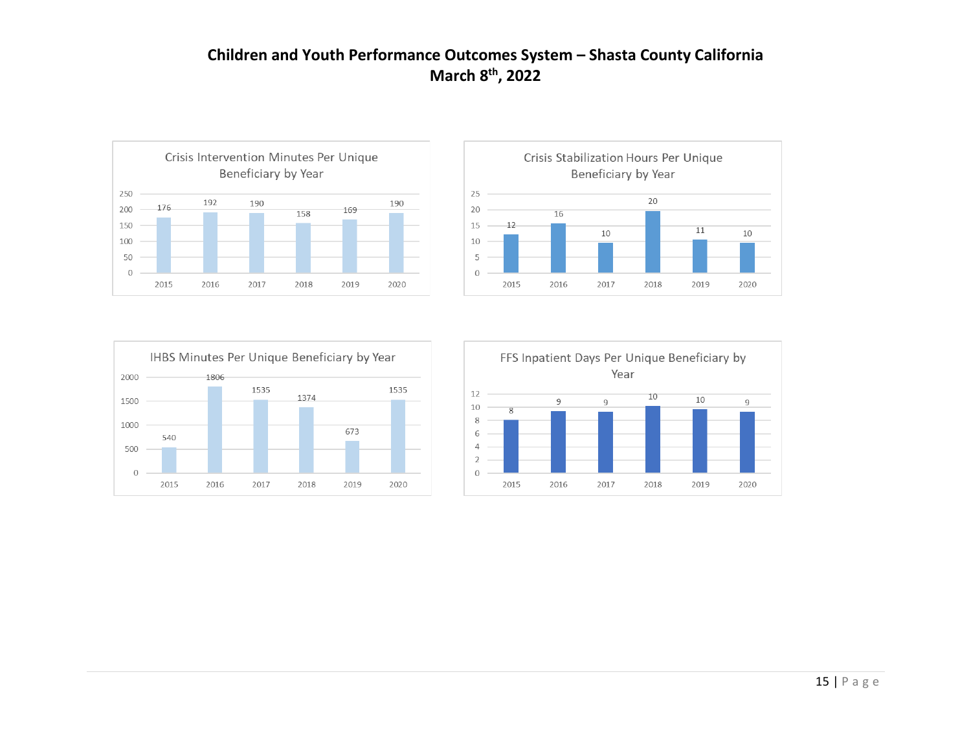





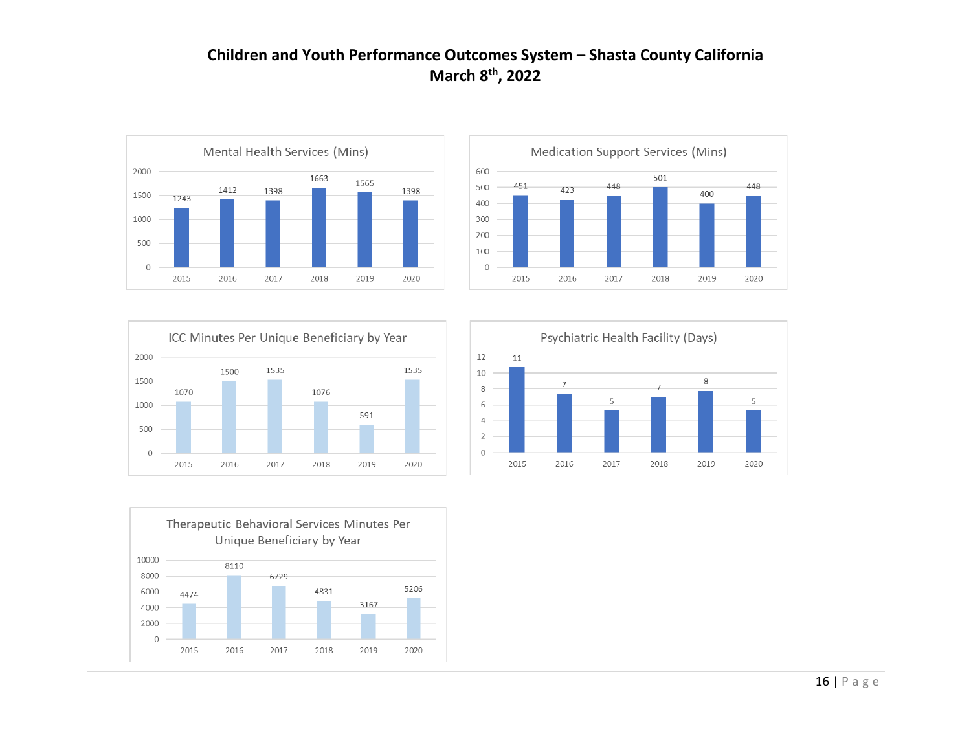







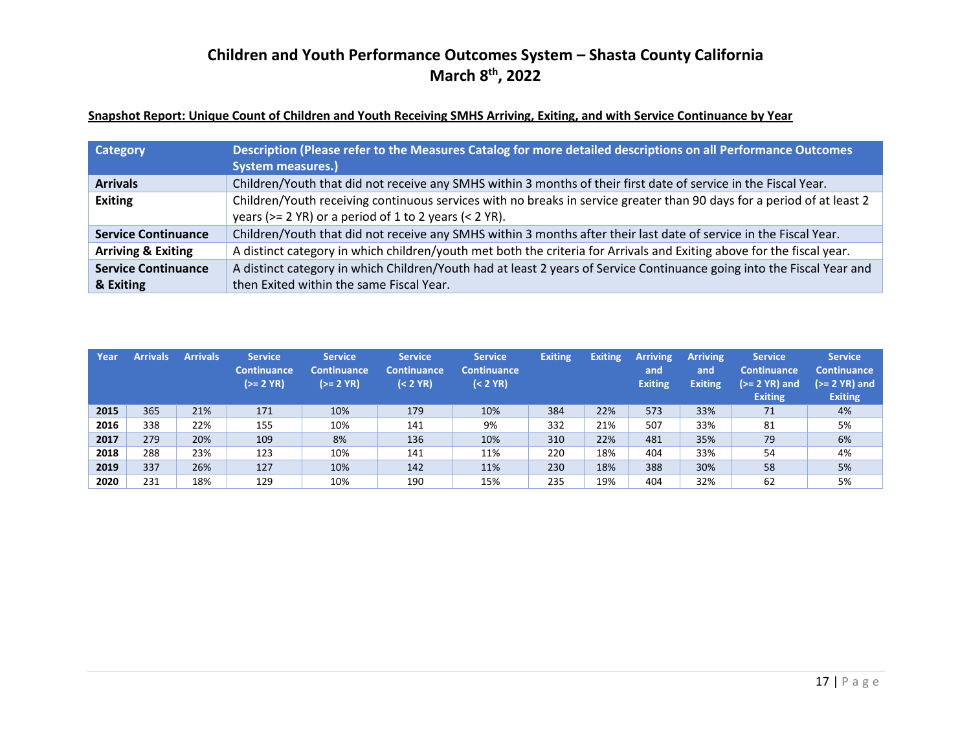### **Snapshot Report: Unique Count of Children and Youth Receiving SMHS Arriving, Exiting, and with Service Continuance by Year**

| Category                      | Description (Please refer to the Measures Catalog for more detailed descriptions on all Performance Outcomes           |
|-------------------------------|------------------------------------------------------------------------------------------------------------------------|
|                               | <b>System measures.)</b>                                                                                               |
| <b>Arrivals</b>               | Children/Youth that did not receive any SMHS within 3 months of their first date of service in the Fiscal Year.        |
| <b>Exiting</b>                | Children/Youth receiving continuous services with no breaks in service greater than 90 days for a period of at least 2 |
|                               | years ( $>= 2$ YR) or a period of 1 to 2 years ( $< 2$ YR).                                                            |
| <b>Service Continuance</b>    | Children/Youth that did not receive any SMHS within 3 months after their last date of service in the Fiscal Year.      |
| <b>Arriving &amp; Exiting</b> | A distinct category in which children/youth met both the criteria for Arrivals and Exiting above for the fiscal year.  |
| <b>Service Continuance</b>    | A distinct category in which Children/Youth had at least 2 years of Service Continuance going into the Fiscal Year and |
| & Exiting                     | then Exited within the same Fiscal Year.                                                                               |

| Year | <b>Arrivals</b> | <b>Arrivals</b> | <b>Service</b><br><b>Continuance</b><br>$(>= 2 YR)$ | <b>Service</b><br><b>Continuance</b><br>$(>= 2 YR)$ | <b>Service</b><br><b>Continuance</b><br>$(2 YR)$ | <b>Service</b><br><b>Continuance</b><br>$(2 YR)$ | <b>Exiting</b> | <b>Exiting</b> | <b>Arriving</b><br>and<br><b>Exiting</b> | <b>Arriving</b><br>and<br><b>Exiting</b> | <b>Service</b><br><b>Continuance</b><br>$(>= 2$ YR) and<br><b>Exiting</b> | <b>Service</b><br><b>Continuance</b><br>$(>= 2 YR)$ and<br><b>Exiting</b> |
|------|-----------------|-----------------|-----------------------------------------------------|-----------------------------------------------------|--------------------------------------------------|--------------------------------------------------|----------------|----------------|------------------------------------------|------------------------------------------|---------------------------------------------------------------------------|---------------------------------------------------------------------------|
| 2015 | 365             | 21%             | 171                                                 | 10%                                                 | 179                                              | 10%                                              | 384            | 22%            | 573                                      | 33%                                      | 71                                                                        | 4%                                                                        |
| 2016 | 338             | 22%             | 155                                                 | 10%                                                 | 141                                              | 9%                                               | 332            | 21%            | 507                                      | 33%                                      | 81                                                                        | 5%                                                                        |
| 2017 | 279             | 20%             | 109                                                 | 8%                                                  | 136                                              | 10%                                              | 310            | 22%            | 481                                      | 35%                                      | 79                                                                        | 6%                                                                        |
| 2018 | 288             | 23%             | 123                                                 | 10%                                                 | 141                                              | 11%                                              | 220            | 18%            | 404                                      | 33%                                      | 54                                                                        | 4%                                                                        |
| 2019 | 337             | 26%             | 127                                                 | 10%                                                 | 142                                              | 11%                                              | 230            | 18%            | 388                                      | 30%                                      | 58                                                                        | 5%                                                                        |
| 2020 | 231             | 18%             | 129                                                 | 10%                                                 | 190                                              | 15%                                              | 235            | 19%            | 404                                      | 32%                                      | 62                                                                        | 5%                                                                        |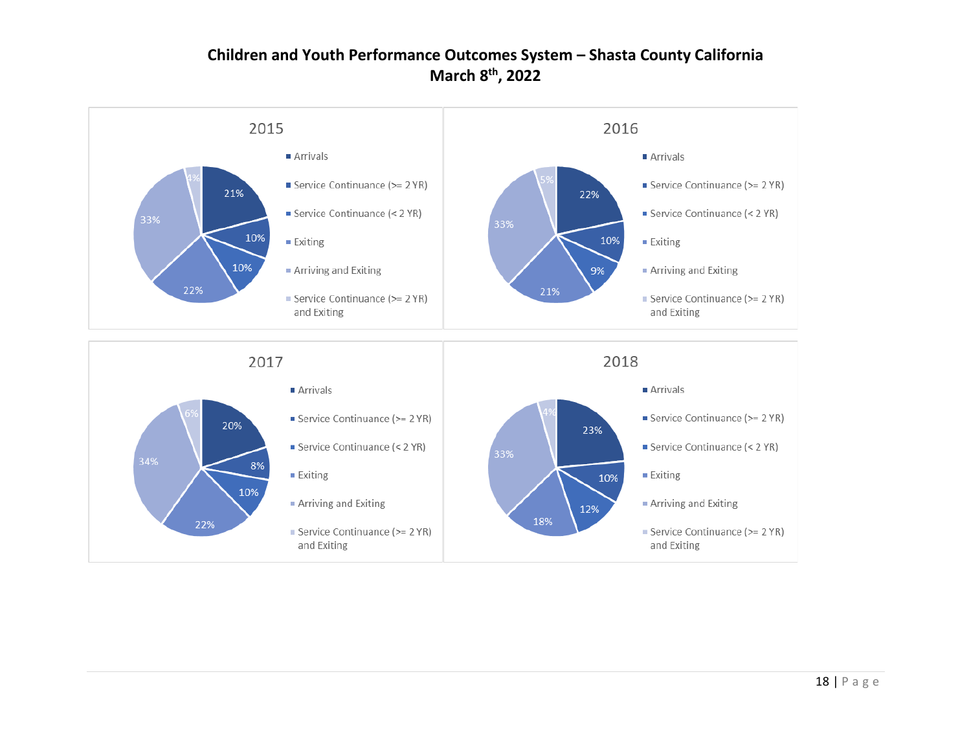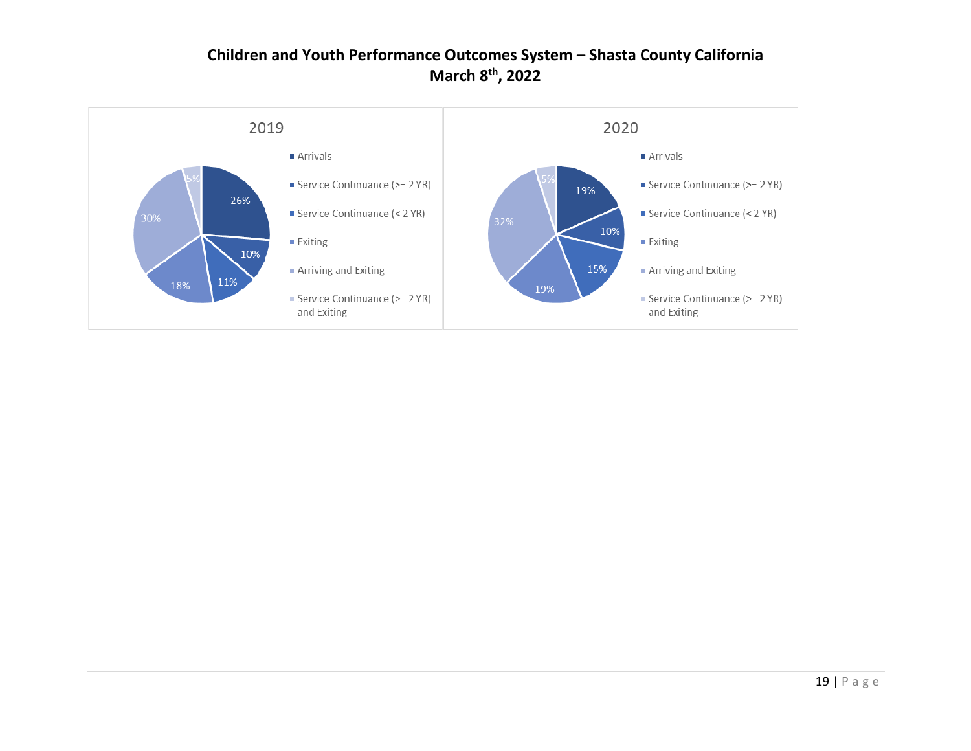